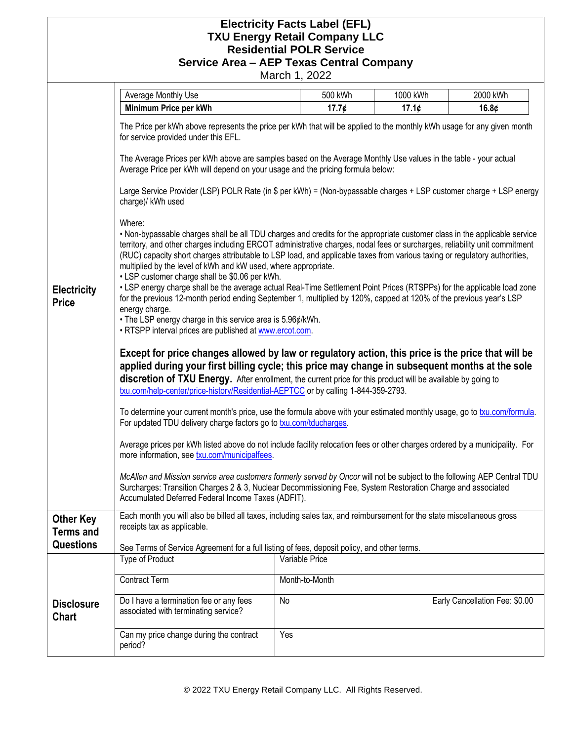## **Electricity Facts Label (EFL) TXU Energy Retail Company LLC Residential POLR Service Service Area – AEP Texas Central Company**

March 1, 2022

|                                                          | Average Monthly Use                                                                                                                                                                                                                                                                                                                                                                                                                                                                                                                                                                                                                                                                                                                                                                                                                                                                                                                                                                                                                                                                                                                                                                                                                                                                                                                                                                                                                                                                                                                                                                                                                                                                                                                                                                                                                                                                                                                                                                                                                                                                                                                                                                                                                                                                                                                                                                                                                                                           | 500 kWh        | 1000 kWh | 2000 kWh                       |  |
|----------------------------------------------------------|-------------------------------------------------------------------------------------------------------------------------------------------------------------------------------------------------------------------------------------------------------------------------------------------------------------------------------------------------------------------------------------------------------------------------------------------------------------------------------------------------------------------------------------------------------------------------------------------------------------------------------------------------------------------------------------------------------------------------------------------------------------------------------------------------------------------------------------------------------------------------------------------------------------------------------------------------------------------------------------------------------------------------------------------------------------------------------------------------------------------------------------------------------------------------------------------------------------------------------------------------------------------------------------------------------------------------------------------------------------------------------------------------------------------------------------------------------------------------------------------------------------------------------------------------------------------------------------------------------------------------------------------------------------------------------------------------------------------------------------------------------------------------------------------------------------------------------------------------------------------------------------------------------------------------------------------------------------------------------------------------------------------------------------------------------------------------------------------------------------------------------------------------------------------------------------------------------------------------------------------------------------------------------------------------------------------------------------------------------------------------------------------------------------------------------------------------------------------------------|----------------|----------|--------------------------------|--|
|                                                          | Minimum Price per kWh                                                                                                                                                                                                                                                                                                                                                                                                                                                                                                                                                                                                                                                                                                                                                                                                                                                                                                                                                                                                                                                                                                                                                                                                                                                                                                                                                                                                                                                                                                                                                                                                                                                                                                                                                                                                                                                                                                                                                                                                                                                                                                                                                                                                                                                                                                                                                                                                                                                         | 17.7¢          | 17.1¢    | 16.8 $\phi$                    |  |
| <b>Electricity</b><br><b>Price</b>                       | The Price per kWh above represents the price per kWh that will be applied to the monthly kWh usage for any given month<br>for service provided under this EFL.<br>The Average Prices per kWh above are samples based on the Average Monthly Use values in the table - your actual<br>Average Price per kWh will depend on your usage and the pricing formula below:<br>Large Service Provider (LSP) POLR Rate (in \$ per kWh) = (Non-bypassable charges + LSP customer charge + LSP energy<br>charge)/ kWh used<br>Where:<br>. Non-bypassable charges shall be all TDU charges and credits for the appropriate customer class in the applicable service<br>territory, and other charges including ERCOT administrative charges, nodal fees or surcharges, reliability unit commitment<br>(RUC) capacity short charges attributable to LSP load, and applicable taxes from various taxing or regulatory authorities,<br>multiplied by the level of kWh and kW used, where appropriate.<br>• LSP customer charge shall be \$0.06 per kWh.<br>• LSP energy charge shall be the average actual Real-Time Settlement Point Prices (RTSPPs) for the applicable load zone<br>for the previous 12-month period ending September 1, multiplied by 120%, capped at 120% of the previous year's LSP<br>energy charge.<br>• The LSP energy charge in this service area is 5.96¢/kWh.<br>. RTSPP interval prices are published at www.ercot.com.<br>Except for price changes allowed by law or regulatory action, this price is the price that will be<br>applied during your first billing cycle; this price may change in subsequent months at the sole<br>discretion of TXU Energy. After enrollment, the current price for this product will be available by going to<br>txu.com/help-center/price-history/Residential-AEPTCC or by calling 1-844-359-2793.<br>To determine your current month's price, use the formula above with your estimated monthly usage, go to txu.com/formula.<br>For updated TDU delivery charge factors go to txu.com/tducharges.<br>Average prices per kWh listed above do not include facility relocation fees or other charges ordered by a municipality. For<br>more information, see txu.com/municipalfees.<br>McAllen and Mission service area customers formerly served by Oncor will not be subject to the following AEP Central TDU<br>Surcharges: Transition Charges 2 & 3, Nuclear Decommissioning Fee, System Restoration Charge and associated |                |          |                                |  |
| <b>Other Key</b><br><b>Terms and</b><br><b>Questions</b> | Each month you will also be billed all taxes, including sales tax, and reimbursement for the state miscellaneous gross<br>receipts tax as applicable.<br>See Terms of Service Agreement for a full listing of fees, deposit policy, and other terms.                                                                                                                                                                                                                                                                                                                                                                                                                                                                                                                                                                                                                                                                                                                                                                                                                                                                                                                                                                                                                                                                                                                                                                                                                                                                                                                                                                                                                                                                                                                                                                                                                                                                                                                                                                                                                                                                                                                                                                                                                                                                                                                                                                                                                          |                |          |                                |  |
|                                                          | Type of Product                                                                                                                                                                                                                                                                                                                                                                                                                                                                                                                                                                                                                                                                                                                                                                                                                                                                                                                                                                                                                                                                                                                                                                                                                                                                                                                                                                                                                                                                                                                                                                                                                                                                                                                                                                                                                                                                                                                                                                                                                                                                                                                                                                                                                                                                                                                                                                                                                                                               | Variable Price |          |                                |  |
|                                                          | <b>Contract Term</b>                                                                                                                                                                                                                                                                                                                                                                                                                                                                                                                                                                                                                                                                                                                                                                                                                                                                                                                                                                                                                                                                                                                                                                                                                                                                                                                                                                                                                                                                                                                                                                                                                                                                                                                                                                                                                                                                                                                                                                                                                                                                                                                                                                                                                                                                                                                                                                                                                                                          | Month-to-Month |          |                                |  |
| <b>Disclosure</b><br><b>Chart</b>                        | Do I have a termination fee or any fees<br>associated with terminating service?                                                                                                                                                                                                                                                                                                                                                                                                                                                                                                                                                                                                                                                                                                                                                                                                                                                                                                                                                                                                                                                                                                                                                                                                                                                                                                                                                                                                                                                                                                                                                                                                                                                                                                                                                                                                                                                                                                                                                                                                                                                                                                                                                                                                                                                                                                                                                                                               | No             |          | Early Cancellation Fee: \$0.00 |  |
|                                                          | Can my price change during the contract<br>period?                                                                                                                                                                                                                                                                                                                                                                                                                                                                                                                                                                                                                                                                                                                                                                                                                                                                                                                                                                                                                                                                                                                                                                                                                                                                                                                                                                                                                                                                                                                                                                                                                                                                                                                                                                                                                                                                                                                                                                                                                                                                                                                                                                                                                                                                                                                                                                                                                            | Yes            |          |                                |  |